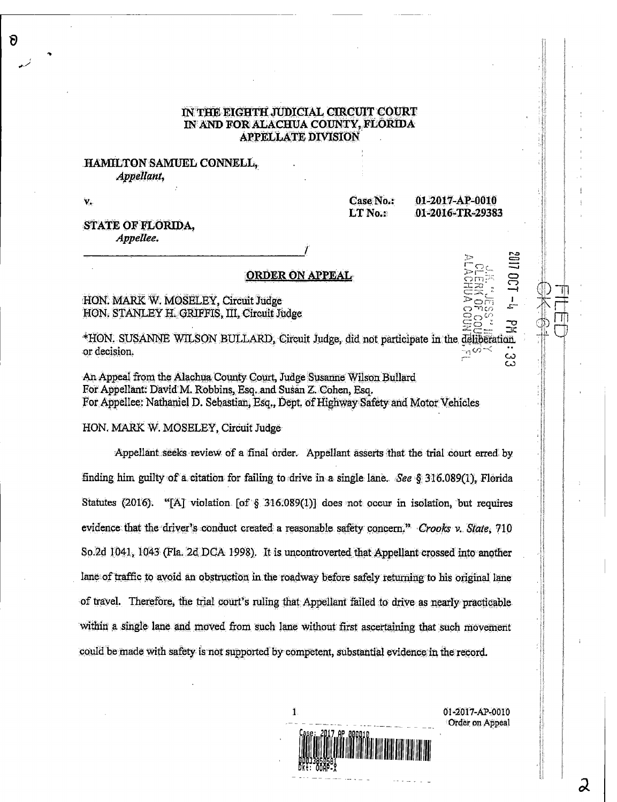### IN THE EIGHTH JUDICIAL CIRCUIT COURT WAND FOR ALACHUA COUNTY, FLORIDA APPELLATE DIVISION

# HAMILTON SAMUEL CONNELL,, Appellant,

v.<br>Case No.: 01-2017-AP-0010<br>LT No.: 01-2016-TR-2938 01-2016-TR-29383

--<br>---

1,..0

 $\overline{\mathbf{C}}$ 

 $\mathcal{C}$ 

 $\Xi^{\text{max}}_{\Xi}$  .  $\Xi$ 己숫, <del>: --</del>-

#### STATE OF FLORIDA, Appellee.

# ORDER ON APPEAL

# HON. MARK W. MOSELEY, Circuit Judge HON. STANLEY H. GRIFFIS, III, Circuit Judge

\*HON. SUSANNE WILSON BULLARD, Circuit Judge, did not participate in the defiberation.<br>The decision.  $\alpha$  decision.  $\mathcal{L}_{\mathcal{I}}(\mathcal{O})$ 

An Appeal from the Alachua County Court, Judge Susanne Wilson Bullard For Appellant. David M. Robbins, Esq. and Susan Z. Cohen, Esq. For Appellee: Nathaniel D. Sebastian, Esq., Dept of Highway Safety and Motor Vehicles

#### HON. MARK W. MOSELEY, Cirouit Judge

Appellant seeks review of a final order. Appellant asserts that the trial court erred by finding him guilty of a citation for failing to drive in a single lane. See  $\&$  316.089(1), Florida Statutes (2016). "[A] violation [of § 316.089(1)] does not occur in isolation, but requires evidence that the driver's conduct created a reasonable safety concern." Crooks v. State, 710 So 2d 1041, 1043 (Fla. 2d DCA 1998). It is uncontroverted that Appellant crossed into another lane of traffic to avoid an obstruction in the roadway before safely returning to his original lane of travel. Therefore, the trial court's ruling that Appellant failed to drive as nearly practicable within a single lane and moved from such lane without first ascertaining that such movement could be made with safety is not supported by competent, substantial evidence in the record.

> 1 01-2017-AP-0010 Order on Appeal

> > $\boldsymbol{\lambda}$

/LOUISOND AND AND AND PAIN FOR DISPOSITION IN THE TIME.<br>Primary of the contract of the contract of the contract of the contract of the contract of the contract of the

 $\delta$